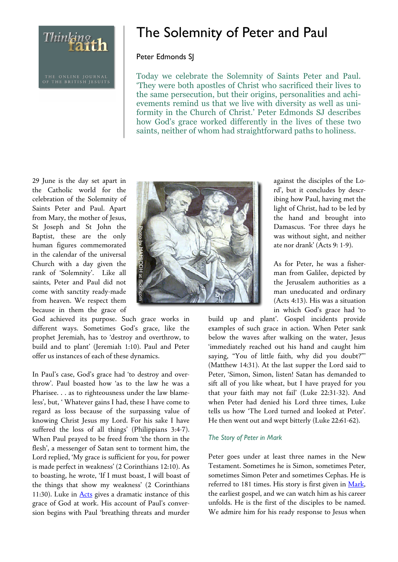Thinking th

# The Solemnity of Peter and Paul

## Peter Edmonds SJ

Today we celebrate the Solemnity of Saints Peter and Paul. 'They were both apostles of Christ who sacrificed their lives to the same persecution, but their origins, personalities and achievements remind us that we live with diversity as well as uniformity in the Church of Christ.' Peter Edmonds SJ describes how God's grace worked differently in the lives of these two saints, neither of whom had straightforward paths to holiness.

29 June is the day set apart in the Catholic world for the celebration of the Solemnity of Saints Peter and Paul. Apart from Mary, the mother of Jesus, St Joseph and St John the Baptist, these are the only human figures commemorated in the calendar of the universal Church with a day given the rank of 'Solemnity'. Like all saints, Peter and Paul did not come with sanctity ready-made from heaven. We respect them because in them the grace of

God achieved its purpose. Such grace works in different ways. Sometimes God's grace, like the prophet Jeremiah, has to 'destroy and overthrow, to build and to plant' (Jeremiah 1:10). Paul and Peter offer us instances of each of these dynamics.

In Paul's case, God's grace had 'to destroy and overthrow'. Paul boasted how 'as to the law he was a Pharisee. . . as to righteousness under the law blameless', but, ' Whatever gains I had, these I have come to regard as loss because of the surpassing value of knowing Christ Jesus my Lord. For his sake I have suffered the loss of all things' (Philippians 3:4-7). When Paul prayed to be freed from 'the thorn in the flesh', a messenger of Satan sent to torment him, the Lord replied, 'My grace is sufficient for you, for power is made perfect in weakness' (2 Corinthians 12:10). As to boasting, he wrote, 'If I must boast, I will boast of the things that show my weakness' (2 Corinthians 11:30). Luke in **Acts** gives a dramatic instance of this grace of God at work. His account of Paul's conversion begins with Paul 'breathing threats and murder



against the disciples of the Lord', but it concludes by describing how Paul, having met the light of Christ, had to be led by the hand and brought into Damascus. 'For three days he was without sight, and neither ate nor drank' (Acts 9: 1-9).

As for Peter, he was a fisherman from Galilee, depicted by the Jerusalem authorities as a man uneducated and ordinary (Acts 4:13). His was a situation in which God's grace had 'to

build up and plant'. Gospel incidents provide examples of such grace in action. When Peter sank below the waves after walking on the water, Jesus 'immediately reached out his hand and caught him saying, "You of little faith, why did you doubt?"' (Matthew 14:31). At the last supper the Lord said to Peter, 'Simon, Simon, listen! Satan has demanded to sift all of you like wheat, but I have prayed for you that your faith may not fail' (Luke 22:31-32). And when Peter had denied his Lord three times, Luke tells us how 'The Lord turned and looked at Peter'. He then went out and wept bitterly (Luke 22:61-62).

#### *The Story of Peter in Mark*

Peter goes under at least three names in the New Testament. Sometimes he is Simon, sometimes Peter, sometimes Simon Peter and sometimes Cephas. He is referred to 181 times. His story is first given in Mark, the earliest gospel, and we can watch him as his career unfolds. He is the first of the disciples to be named. We admire him for his ready response to Jesus when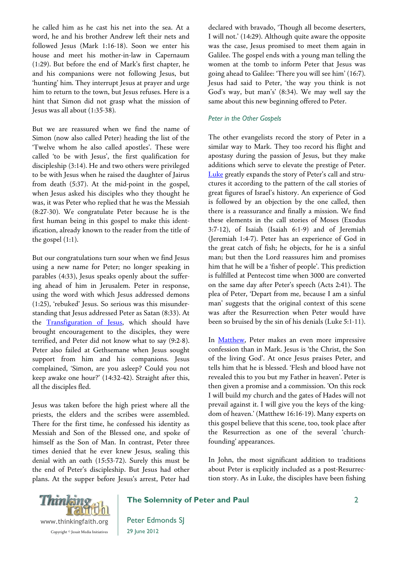he called him as he cast his net into the sea. At a word, he and his brother Andrew left their nets and followed Jesus (Mark 1:16-18). Soon we enter his house and meet his mother-in-law in Capernaum (1:29). But before the end of Mark's first chapter, he and his companions were not following Jesus, but 'hunting' him. They interrupt Jesus at prayer and urge him to return to the town, but Jesus refuses. Here is a hint that Simon did not grasp what the mission of Jesus was all about (1:35-38).

But we are reassured when we find the name of Simon (now also called Peter) heading the list of the 'Twelve whom he also called apostles'. These were called 'to be with Jesus', the first qualification for discipleship (3:14). He and two others were privileged to be with Jesus when he raised the daughter of Jairus from death (5:37). At the mid-point in the gospel, when Jesus asked his disciples who they thought he was, it was Peter who replied that he was the Messiah (8:27-30). We congratulate Peter because he is the first human being in this gospel to make this identification, already known to the reader from the title of the gospel (1:1).

But our congratulations turn sour when we find Jesus using a new name for Peter; no longer speaking in parables (4:33), Jesus speaks openly about the suffering ahead of him in Jerusalem. Peter in response, using the word with which Jesus addressed demons (1:25), 'rebuked' Jesus. So serious was this misunderstanding that Jesus addressed Peter as Satan (8:33). At the Transfiguration of Jesus, which should have brought encouragement to the disciples, they were terrified, and Peter did not know what to say (9:2-8). Peter also failed at Gethsemane when Jesus sought support from him and his companions. Jesus complained, 'Simon, are you asleep? Could you not keep awake one hour?' (14:32-42). Straight after this, all the disciples fled.

Jesus was taken before the high priest where all the priests, the elders and the scribes were assembled. There for the first time, he confessed his identity as Messiah and Son of the Blessed one, and spoke of himself as the Son of Man. In contrast, Peter three times denied that he ever knew Jesus, sealing this denial with an oath (15:53-72). Surely this must be the end of Peter's discipleship. But Jesus had other plans. At the supper before Jesus's arrest, Peter had declared with bravado, 'Though all become deserters, I will not.' (14:29). Although quite aware the opposite was the case, Jesus promised to meet them again in Galilee. The gospel ends with a young man telling the women at the tomb to inform Peter that Jesus was going ahead to Galilee: 'There you will see him' (16:7). Jesus had said to Peter, 'the way you think is not God's way, but man's' (8:34). We may well say the same about this new beginning offered to Peter.

## *Peter in the Other Gospels*

The other evangelists record the story of Peter in a similar way to Mark. They too record his flight and apostasy during the passion of Jesus, but they make additions which serve to elevate the prestige of Peter. Luke greatly expands the story of Peter's call and structures it according to the pattern of the call stories of great figures of Israel's history. An experience of God is followed by an objection by the one called, then there is a reassurance and finally a mission. We find these elements in the call stories of Moses (Exodus 3:7-12), of Isaiah (Isaiah 6:1-9) and of Jeremiah (Jeremiah 1:4-7). Peter has an experience of God in the great catch of fish; he objects, for he is a sinful man; but then the Lord reassures him and promises him that he will be a 'fisher of people'. This prediction is fulfilled at Pentecost time when 3000 are converted on the same day after Peter's speech (Acts 2:41). The plea of Peter, 'Depart from me, because I am a sinful man' suggests that the original context of this scene was after the Resurrection when Peter would have been so bruised by the sin of his denials (Luke 5:1-11).

In Matthew, Peter makes an even more impressive confession than in Mark. Jesus is 'the Christ, the Son of the living God'. At once Jesus praises Peter, and tells him that he is blessed. 'Flesh and blood have not revealed this to you but my Father in heaven'. Peter is then given a promise and a commission. 'On this rock I will build my church and the gates of Hades will not prevail against it. I will give you the keys of the kingdom of heaven.' (Matthew 16:16-19). Many experts on this gospel believe that this scene, too, took place after the Resurrection as one of the several 'churchfounding' appearances.

In John, the most significant addition to traditions about Peter is explicitly included as a post-Resurrection story. As in Luke, the disciples have been fishing



## **The Solemnity of Peter and Paul**

Peter Edmonds SJ 29 June 2012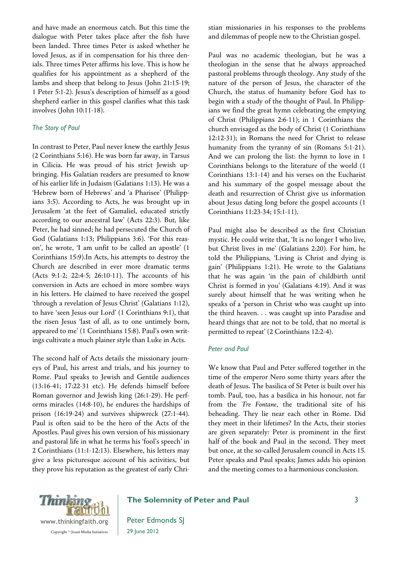and have made an enormous catch. But this time the dialogue with Peter takes place after the fish have been landed. Three times Peter is asked whether he loved Jesus, as if in compensation for his three denials. Three times Peter affirms his love. This is how he qualifies for his appointment as a shepherd of the lambs and sheep that belong to Jesus (John 21:15-19; 1 Peter 5:1-2). Jesus's description of himself as a good shepherd earlier in this gospel clarifies what this task involves (John 10:11-18).

#### *The Story of Paul*

In contrast to Peter, Paul never knew the earthly Jesus (2 Corinthians 5:16). He was born far away, in Tarsus in Cilicia. He was proud of his strict Jewish upbringing. His Galatian readers are presumed to know of his earlier life in Judaism (Galatians 1:13). He was a 'Hebrew born of Hebrews' and 'a Pharisee' (Philippians 3:5). According to Acts, he was brought up in Jerusalem 'at the feet of Gamaliel, educated strictly according to our ancestral law' (Acts 22:3). But, like Peter, he had sinned; he had persecuted the Church of God (Galatians 1:13; Philippians 3:6). 'For this reason', he wrote, 'I am unfit to be called an apostle' (1 Corinthians 15:9).In Acts, his attempts to destroy the Church are described in ever more dramatic terms (Acts 9:1-2; 22:4-5; 26:10-11). The accounts of his conversion in Acts are echoed in more sombre ways in his letters. He claimed to have received the gospel 'through a revelation of Jesus Christ' (Galatians 1:12), to have 'seen Jesus our Lord' (1 Corinthians 9:1), that the risen Jesus 'last of all, as to one untimely born, appeared to me' (1 Corinthians 15:8). Paul's own writings cultivate a much plainer style than Luke in Acts.

The second half of Acts details the missionary journeys of Paul, his arrest and trials, and his journey to Rome. Paul speaks to Jewish and Gentile audiences (13:16-41; 17:22-31 etc). He defends himself before Roman governor and Jewish king (26:1-29). He performs miracles (14:8-10), he endures the hardships of prison (16:19-24) and survives shipwreck (27:1-44). Paul is often said to be the hero of the Acts of the Apostles. Paul gives his own version of his missionary and pastoral life in what he terms his 'fool's speech' in 2 Corinthians (11:1-12:13). Elsewhere, his letters may give a less picturesque account of his activities, but they prove his reputation as the greatest of early Christian missionaries in his responses to the problems and dilemmas of people new to the Christian gospel.

Paul was no academic theologian, but he was a theologian in the sense that he always approached pastoral problems through theology. Any study of the nature of the person of Jesus, the character of the Church, the status of humanity before God has to begin with a study of the thought of Paul. In Philippians we find the great hymn celebrating the emptying of Christ (Philippians 2:6-11); in 1 Corinthians the church envisaged as the body of Christ (1 Corinthians 12:12-31); in Romans the need for Christ to release humanity from the tyranny of sin (Romans 5:1-21). And we can prolong the list: the hymn to love in 1 Corinthians belongs to the literature of the world (1 Corinthians 13:1-14) and his verses on the Eucharist and his summary of the gospel message about the death and resurrection of Christ give us information about Jesus dating long before the gospel accounts (1 Corinthians 11:23-34; 15:1-11).

Paul might also be described as the first Christian mystic. He could write that, 'It is no longer I who live, but Christ lives in me' (Galatians 2:20). For him, he told the Philippians, 'Living is Christ and dying is gain' (Philippians 1:21). He wrote to the Galatians that he was again 'in the pain of childbirth until Christ is formed in you' (Galatians 4:19). And it was surely about himself that he was writing when he speaks of a 'person in Christ who was caught up into the third heaven. . . was caught up into Paradise and heard things that are not to be told, that no mortal is permitted to repeat' (2 Corinthians 12:2-4).

## *Peter and Paul*

We know that Paul and Peter suffered together in the time of the emperor Nero some thirty years after the death of Jesus. The basilica of St Peter is built over his tomb. Paul, too, has a basilica in his honour, not far from the *Tre Fontane*, the traditional site of his beheading. They lie near each other in Rome. Did they meet in their lifetimes? In the Acts, their stories are given separately: Peter is prominent in the first half of the book and Paul in the second. They meet but once, at the so-called Jerusalem council in Acts 15. Peter speaks and Paul speaks; James adds his opinion and the meeting comes to a harmonious conclusion.



## **The Solemnity of Peter and Paul**

Peter Edmonds SJ 29 June 2012